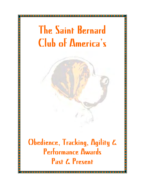# The Saint Bernard Club of America's

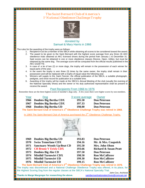# *The Saint Bernard Club of America's* 1<sup>*s*</sup> National Obedience Challenge Trophy



## donated by Samuel & Mary Harris in 1966

The rules for the awarding of the trophy were as follows:

- 1. Recipient m ust be a member of the SBCA while obtaining all scores to be considered toward the award.
- 2. The award to be given to the Saint Bernard with the highest score average from any three (3) AKC obedience trials obtained at AKC licensed shows during the period from January 1 to December 31. Said scores can be obtained in one or more obedience classes (Novice, Open, Utility), but must be obtained by the same dog. The average score will be computed from the official results published in the AKC *GAZETTE*.
- 3. In case of a tie of two (2) or more dogs, the trophy will remain in the possession of each winner for equal parts of the year.
- 4. In the event the trophy is won three (3) times by the same owner, the trophy shall remain in their possession and will be replaced with a trophy of equal value the following year.
- 5. Winners will supply to the *Saint Fancier*, the official publication of the SBCA, a suitable photograph, pedigree, and show record for publication at a suitable time.
- 6. Awarding of the trophy will be made at the SBCA's Annual Meeting of the club (usually the evening of the National Specialty Show) and the owner or his duly authorized representative shall be present to receive the award.

### Past Recipients From 1966 to 1976

Remember these are the three highest scores of member's dogs only. A few years there were higher scores by non-members.

| 3 score average<br>Year<br>Dog        | Owner               |
|---------------------------------------|---------------------|
| 1966 Donbies Big Bertha CDX<br>195.50 | <b>Don Peterson</b> |
| 1967 Donbies Big Bertha CDX<br>197.33 | <b>Don Peterson</b> |
| 198.00<br>1968 Donbies Big Bertha UD  | <b>Don Peterson</b> |

**The Saint Bernard Club of America's 1st Obedience Challenge Trophy was retired in 1968.**

In 1969 The Saint Bernard Club of America purchased the  $2^{nd}$  Obedience Challenge Trophy.



| 1969 | <b>Donbies Big Bertha UD</b>      | 193.83 | <b>Don Peterson</b>              |
|------|-----------------------------------|--------|----------------------------------|
|      | 1970 Swiss Temerlane CDX          | 194.16 | Mr. & Mrs. Coapstick             |
| 1971 | <b>Sanctuary Woods Up-Beat CD</b> | 195.50 | Mrs. John Olson                  |
|      | 1972 CH Bruno V Erick CDX         | 193.66 | <b>Richard &amp; Susan Pratt</b> |
|      | 1973 Donbies Big Abe CD           | 197.50 | <b>Don Peterson</b>              |
|      | 1974 Mistihil Turmwirt CDX        | 198.50 | <b>Ron McCallister</b>           |
|      | 1975 Mistihil Turmwirt UD         | 199.30 | <b>Ron McCallister</b>           |
|      | 1976 Mistihil Turmwirt UD         | 199.15 | <b>Ron McCallister</b>           |
|      | nd.                               |        |                                  |

**The Saint Bernard Club of America's 2nd Obedience Challenge Trophy was retired in 1976**. The trophy was discontinued and a National Challenge Obedience Trophy was offered, in its place, for the Highest Scoring Dog from the regular classes at the SBCA's National Specialty Trial.

**Thanks to Marge Macgregor for researching the above.** saintbernardnationalarchives@comcast.net

John Cox, Archivist

<u>Tion and a complete the complete of the complete of the complete of the complete of the complete of the complete of the complete of the complete of the complete of the complete of the c</u>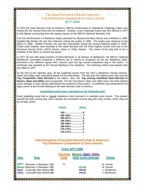# *The Saint Bernard Club of America's Top Obedience Competition & Class Awards 1977-1986*

In 1976 the Saint Bernard Club of America's (SBCA) Achievement in Obedience Challenge trophy was retired (for the second time) and not replaced. Instead, a new challenge trophy was first offered in 1977 to the highest scoring dog from the regular classes at the SBCA's National Specialty Trial.

The first Achievement in Obedience trophy (donated by Samual and Mary Harris) was instituted in 1966. Donbies Big Bertha UD and Don Peterson retired the trophy in 1968. The trophy was replaced by the SBCA in 1969. Mistihil Turmwirt UD and Ron McCallister retired the second National trophy in 1976. These early trophies were awarded to the Saint Bernard with the three highest scores from any of the American Kennel Club's (AKC) Novice, Open or Utility classes. The owner of the dog had to be a member of the SBCA to receive the award.

In 1977 (an era with large numbers of Saint Bernards in *all classes* of obedience), the SBCA's National Obedience Committee proposed a different set of criteria to recognize all the top obedience Saint Bernards in the *different regular AKC classes*, plus *the top overall competition* dog in the nation. A certificate was awarded at the Annual Meeting to the recipients. The following criteria and awards went into effect in 1977:

At the end of the calendar year, all the qualifying scores from the AKC's obedience classes (Novice, Open and Utility) were calculated based on the chart below. The dog with the highest point total was the **Top Competition Saint Bernard** in the nation. Also, the **Top scoring individual Saint Bernard in Novice, Open and Utility** were recognized. For the Top Novice, Open and Utility Saint, the *three highest score average* in said classes determined the recipient of that award. A certificate was presented to the dog's owner at the Annual Meeting of the Saint Bernard Club of America.

#### **Competition points were calculated on the following chart**

Every qualifying score from a reqular obedience class (earned in a calendar year) counts. This system awards the high scoring dog, plus it awards the consistent scoring dog with many scores, which may not be all high scores be all high scores.

|                                                                                                               |                                                                                                                              | <b>Points</b> | <b>Score</b>               |                                                        |  |  |
|---------------------------------------------------------------------------------------------------------------|------------------------------------------------------------------------------------------------------------------------------|---------------|----------------------------|--------------------------------------------------------|--|--|
|                                                                                                               | $200$ 8<br>190-1941/25<br>$185 - 189\frac{1}{2}, \ldots, \ldots, 4$<br>$180 - 184\frac{1}{2}$ 3<br>$175 - 179\frac{1}{2}$ 2  |               |                            |                                                        |  |  |
| Past Recipients of the Saint Bernard Club of America's<br><b>Top Obedience Competition &amp; Class Awards</b> |                                                                                                                              |               |                            |                                                        |  |  |
|                                                                                                               |                                                                                                                              |               | <b>From 1977-1986</b>      |                                                        |  |  |
| Year                                                                                                          | <b>Top Dog Novice, Open, Utility</b><br><b>High score average</b><br><b>Total</b><br><b>Dog</b><br><b>Owner</b>              |               |                            |                                                        |  |  |
| 1977<br><b>Open</b><br><b>Utility</b>                                                                         | Baroness V Manduke   CD<br><b>Novice</b> Baroness V Manduke I CD<br>Lovecrafts Nita Nicklus UD<br>Lovecrafts Nita Nicklus UD | 70            | 197.66<br>196.33<br>194.66 | M. Szurek<br>M. Szurek<br>J. Sanderson<br>J. Sanderson |  |  |

<u> 1989 - Prima Amerikaan Santa Barat dan Bandara dan Bandara dan Bandara dan Bandara dan Bandara dan Bandara da</u>

L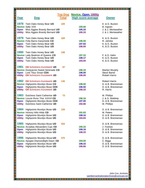| Year           | <b>Dog</b>                                 | <b>Top Dog</b><br>Total | <b>Novice, Open, Utility</b><br><b>High score average</b> | <b>Owner</b>         |
|----------------|--------------------------------------------|-------------------------|-----------------------------------------------------------|----------------------|
| 1978           | Twin Oaks Honey Bear UD                    | 109                     |                                                           | K. & D. Buxton       |
|                | <b>Novice Sally XXII</b>                   |                         | 195.66                                                    | B. Ingram            |
| <b>Open</b>    | Miss Aggies Brandy Bernard UD              |                         | 195.33                                                    | J. & J. Meriweather  |
| <b>Utility</b> | Miss Aggies Brandy Bernard UD              |                         | 195.33                                                    | J. & J. Meriweather  |
| 1979           | Twin Oaks Honey Bear UD                    | 169                     |                                                           | K. & D. Buxton       |
|                | Novice Folly Barns Ganymede CD             |                         | 196.00                                                    | R. Jahnke            |
| <b>Open</b>    | Twin Oaks Honey Bear UD                    |                         | 197.83                                                    | K. & D. Buxton       |
| <b>Utility</b> | Twin Oaks Honey Bear UD                    |                         | 196.00                                                    | K. & D. Buxton       |
|                |                                            |                         |                                                           |                      |
| 1980           | Twin Oaks Honey Bear UD                    | 108                     |                                                           |                      |
|                | <b>Novice</b> Lady Beatrice of Queens CD   |                         | 197.33                                                    | F. & D. Hahn         |
| <b>Open</b>    | Twin Oaks Honey Bear UD                    |                         | 198.17                                                    | K. & D. Buxton       |
| <b>Utility</b> | Twin Oaks Honey Bear UD                    |                         | 193.00                                                    | K. & D. Buxton       |
| 1981           | <b>CH Schnitzers Kunstwerk UD</b>          | 87                      |                                                           |                      |
|                | <b>Novice</b> Dustyacres Sweet Serenade CD |                         | 196.33                                                    | Marilyn Murphy       |
| <b>Open</b>    | Lord Titus Groan CDX                       |                         | 196.00                                                    | <b>Steve Barret</b>  |
| <b>Utility</b> | <b>CH</b> Schnitzers Kunstwerk UD          |                         | 196.00                                                    | <b>Robert Harris</b> |
|                |                                            |                         |                                                           |                      |
| 1982           | <b>CH Schnitzers Kunstwerk UD</b>          | 136                     |                                                           | <b>Robert Harris</b> |
|                | <b>Novice Highpoints Mundys Muse CD</b>    |                         | 198.00                                                    | D. & B. Brenneman    |
| <b>Open</b>    | <b>Highpoints Mundys Muse CDX</b>          |                         | 196.50                                                    | D. & B. Brenneman    |
| <b>Utility</b> | <b>CH</b> Schnitzers Kunstwerk UD          |                         | 196.33                                                    | R. Harris            |
| 1983           | Dutchess Saint Catherine UD                | 73                      |                                                           | M. Phillips          |
|                | <b>Novice</b> Locust Runs Thor XXXVI CD    |                         | 196.16                                                    | J. & D. Waldrep      |
| <b>Open</b>    | Highpoints Mundys Muse CDX                 |                         | 197.00                                                    | D. & B. Brenneman    |
| <b>Utility</b> | Dutchess Saint Catherine UD                |                         | 192.66                                                    | M. Phillips          |
|                |                                            |                         |                                                           |                      |
| 1984           | Highpoints Mundys Muse UD                  | 129                     |                                                           | D. & B. Brenneman    |
|                | Novice Hickory Hills Hilda CD              |                         | 191.83                                                    | M. Peters            |
|                | <b>Open</b> Highpoints Mundys Muse UD      |                         | 198.16                                                    | D. & B. Brenneman    |
| <b>Utility</b> | <b>Highpoints Mundys Muse UD</b>           |                         | 194.83                                                    | D. & B. Brenneman    |
| 1985           | Highpoints Mundys Muse UD                  | 434                     |                                                           | D. & B. Brenneman    |
|                | Novice Arcadias Alexanders Cujo CD         |                         | 195.33                                                    | J. Foshee            |
| <b>Open</b>    | Highpoints Mundys Muse UD                  |                         | 199.16                                                    | D. & B. Brenneman    |
| <b>Utility</b> | Highpoints Mundys Muse UD                  |                         | 198.33                                                    | D. & B. Brenneman    |
|                |                                            |                         |                                                           |                      |
| 1986           | Highpoints Mundys Muse UD                  | 370                     |                                                           | D. & B. Brenneman    |
|                | Novice Apogee Diamondlight Dawn CD         |                         | 194.00                                                    | C. Biggs             |
| <b>Open</b>    | Highpoints Mundys Muse UD                  |                         | 198.33                                                    | D. & B. Brenneman    |
| <b>Utility</b> | Highpoints Mundys Muse UD                  |                         | 196.66                                                    | D. & B. Brenneman    |

<u> 1999 - Prima Partis II</u>

John Cox, Archivist saintbernardnationalarchives@comcast.net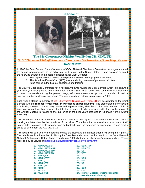#### **In honor of…**





E

 $\begin{array}{c} \hline \end{array}$ The Ch. Cherryacres Nicklus Von Hyden CD, CDX, UD

## Saint Bernard Club of America Achievement in Obedience/Tracking Award 1987 to date

In 1986 the Saint Bernard Club of America's (SBCA) National Obedience Committee once again updated the criteria for recognizing the top achieving Saint Bernard in the United States. These revisions reflected the following changes, in the sport of obedience, for Saint Bernards:

- 1. The large obedience entries of the past era were now dropping off in our breed.
- 2. The American Kennel Club (AKC) was introducing many new "performance" titles to be earned in the fields of obedience and tracking.

The SBCA's Obedience Committee felt it necessary now to reward the Saint Bernard which kept showing year after year adding many obedience and/or tracking titles to its name. The committee felt it was time to reward the consistent dog that passed many performance events as opposed to one who did well in  $\blacksquare$ only one obedience class or one venue. The new award and criteria was adopted in 1987:

Each year a plaque in memory of Ch. Cherryacres Nicklus Von Hyden UD will be awarded to the Saint Bernard with the **Highest Achievement in Obedience and/or Tracking**. The presentation of the award to this dog's owner, or their duly authorized representative, shall be at the Saint Bernard Club of America's Annual Meeting providing the tally for the prior calendar year is possible (due to the timing of the Annual Meeting in relation to the publishing of the prior year's statistics in American Kennel Club's AWARDS).

This award will honor the Saint Bernard and its owner for the highest achievement in obedience and/or tracking as determined by the criteria set forth below. The criteria for the award are based on all AKC scores, titles, trials and tests for obedience and/or tracking in the preceding calendar year. These results are to be taken from the AKC AWARDS.

This award will be given to the dog that comes the closest to the highest criteria (#1 being the highest). The criteria are listed in order of difficulty for Saint Bernards based on the data from the Saint Bernard National Archives and Hall of Fame records from 1936 (first year of obedience/tracking) to date. These records may be viewed at: http://clubs.akc.org/saints/Archives/Welcome.htm

<u> 1999 - 1999 - 1999 - 1999 - 1999 - 1999 - 1999 - 1999 - 1999 - 1999 - 1999 - 1999 - 1999 - 1999 - 1999 - 19</u>

1. OTCh, UDX, CT **13. UDX, TDX 2. OTCh, UDX, VST 14. UDX, TD 3. OTCh, UDX, TDX 15. CT 4. OTCh, UDX, TD 16. VST**<br> **5. OTCh, CT** 17. TDX **5. OTCh, CT 17. TDX**  6. OTCh, VST **7. OTCh, TDX 19. UDT 8. OTCh, TD 20. UD 9. OTCh, UDX 21. TD 10. OTCh 22. CDX 11. UDX, CT 23. CD** 

**12. UDX, VST 24. Highest Obedience Competition Dog (Details at end of article)**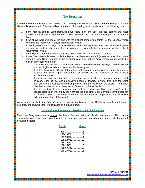# Tie-Breaking

If two or more Saint Bernards were to earn the same highest-level criteria (**for the calendar year**) for the Highest Achievement In Obedience/Tracking Award, the top dog would be chosen in the following order:

- 1. If the highest criteria Saint Bernards have more than one title, the dog earning the most obedience/tracking titles for the calendar year would be the recipient of the Highest Achievement Award.
- 2. If the above were still equal, the one with the highest competition points (for the calendar year) would be the recipient of Highest Achievement Award.
- 3. If the highest criteria dogs have obedience and tracking titles, the one with the highest competition points in obedience (for the calendar year) would be the recipient of the Highest  $\blacksquare$ Achievement Award.
- 4. If the highest criteria dogs have a tracking title(s) only, the award would be shared.
- 5. If two Saint Bernards were to tie for Highest Achievement Award (where no new titles were earned by any Saint Bernard for the calendar year) the Highest Achievement Award would be chosen in the following order:
	- a. The Saint Bernard with the highest obedience title with the most qualifying scores toward the next higher obedience title would be the recipient.
	- b. If all the above were still equal, then the Saint Bernard with the highest competition points towards the next higher obedience title would be the recipient of the Highest Achievement Award.
	- c. If the tie is between dogs that have scores only in the classes in which they **are** titled (Novice, Open, Utility), and no qualifying score(s) towards a higher title, then the Saint Bernard with the highest competition points will be the recipient of the award. The higher  $\Box$ obedience class will take precedence, if needed, to break the tie.
	- d. If it comes down to a tie between dogs that have earned qualifying scores only in the Novice classes, in which they are **not** titled (and no other Saint Bernards earned titles for the calendar year), then the Saint Bernard with the highest competition points in Novice will be the recipient of the award.

Winners will supply to the Saint Fancier, the official publication of the SBCA, a suitable photograph, pedigree, and show record for publication at a suitable time.

#### **Competition points are calculated on the following chart**

Every qualifying score from a regular obedience class earned in a calendar year counts. This system awards the high scoring dog, plus it awards the consistent scoring dog with many scores, which may not be all high scores.

| <b>Points</b>                                     | <b>Score</b> |
|---------------------------------------------------|--------------|
|                                                   |              |
| $198 - 199\frac{1}{2}, \ldots, \ldots, \ldots, 7$ |              |
| $195 - 197\frac{1}{2}, \ldots, \ldots, 6$         |              |
| $190 - 194\frac{1}{2}$ 5                          |              |
| 185-189½……………4                                    |              |
| $180 - 184\frac{1}{2}$ 3                          |              |
|                                                   |              |
| $170 - 174$ <sup>1</sup> / <sub>2</sub> 1         |              |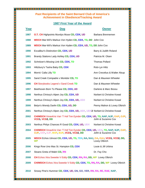# **Past Recipients of the Saint Bernard Club of America's Achievement in Obedience/Tracking Award**

## **1987 First Year of the Award**

| Past Recipients of the Saint Bernard Club of America's<br><b>Achievement in Obedience/Tracking Award</b> |                                                                                                                        |                              |  |  |
|----------------------------------------------------------------------------------------------------------|------------------------------------------------------------------------------------------------------------------------|------------------------------|--|--|
| <b>1987 First Year of the Award</b>                                                                      |                                                                                                                        |                              |  |  |
| Year                                                                                                     | <b>Dog</b>                                                                                                             | <b>Owner</b>                 |  |  |
| 1987                                                                                                     | <b>O.T. CH Highpoints Mundys Muse CD, CDX, UD</b>                                                                      | Barbara Brennemen            |  |  |
| 1988                                                                                                     | <b>WDCH</b> Mar-Wil's Markus Von Hyden CD, CDX, TD, DD John Cox                                                        |                              |  |  |
| 1989                                                                                                     | <b>WDCH</b> Mar-Wil's Markus Von Hyden CD, CDX, UD, TD, DD John Cox                                                    |                              |  |  |
| 1990                                                                                                     | Excalibur's Distinction CD, CDX, UD                                                                                    | Barry & Judith Roland        |  |  |
| 1991                                                                                                     | Brandy Stations Lady Ashley CD, CDX, UD                                                                                | Patricia M. Olsen            |  |  |
| 1992                                                                                                     | Schnitzer's Missing Link CD, CDX, TD                                                                                   | <b>Thomas Pollard</b>        |  |  |
| 1993                                                                                                     | Hiltzbury's Tasha Baby CD, CDX                                                                                         | Rob-Lyn Hiltz                |  |  |
| 1994                                                                                                     | Morris' Calla Lilly TD                                                                                                 | Ann Crecelius & Walter Alsup |  |  |
| 1995                                                                                                     | Sand Creek Compadre v Montdor CD, TD                                                                                   | Dan & Maureen Wheeler        |  |  |
| 1996                                                                                                     | <b>CH</b> Storybooks Legend v Sand Creek TD                                                                            | Dan & Maureen Wheeler        |  |  |
| 1997                                                                                                     | Beethoven Born To Please CD, CDX, UD                                                                                   | Darlene & Marc Bossu         |  |  |
| 1998                                                                                                     | Nerthus Chrissy's Alpen Joy CD, CDX, UD                                                                                | Norbert & Christine Kowal    |  |  |
| 1999                                                                                                     | Nerthus Chrissy's Alpen Joy CD, CDX, UD, UDX                                                                           | Norbert & Christine Kowal    |  |  |
| 2000                                                                                                     | Belyn's Wendy Darlin CD, CDX, UD, DD                                                                                   | Penny Mahon & Lovey Olbrich  |  |  |
| 2001                                                                                                     | Nerthus Chrissy's Alpen Joy CD, CDX, UD, UDX, UDX2 Norbert & Christine Kowal                                           |                              |  |  |
| 2002                                                                                                     | <b>CH/WDCH</b> XmaxKris Van 'T Hof Ten Eynder CD, CDX, UD, TD, NAP, NJP, OAP, OJP,<br>VCD1, VCD2, DD                   | Johh & Suzanne Cox           |  |  |
| 2003                                                                                                     | Nerthus Philys Chances R Good CD, CDX, UD, UDX                                                                         | Norbert & Christine Kowal    |  |  |
| 2004                                                                                                     | CH/WDCH XmaxKris Van 'T Hof Ten Eynder CD, CDX, UD, UDX, TD, NAP, NJP, OAP,<br>OJP, AXP, AJP, MXP, MJP, VCD1, VCD2, DD | Johh & Suzanne Cox           |  |  |
| 2005                                                                                                     | WDCH Echos Utmost CD, CDX, UD, TD, TDX, NA, NAJ, OA, OAJ, VCD1, VCD2, DD,<br><b>WP</b>                                 | Lovey Olbrich                |  |  |
| 2006                                                                                                     | Kings Row Uno Mas St. Hampton CD, CDX                                                                                  | Louie & Jill Urbina          |  |  |
| 2007                                                                                                     | Stoans Greta of Mabri CD, RN                                                                                           | Dr. Fay Cho                  |  |  |
| 2008                                                                                                     | CH Echos Xtra Sweetie V Eddy CD, CDX, RN, RA, DD, WP Lovey Olbrich                                                     |                              |  |  |
| 2009                                                                                                     | <b>CH/WDCH</b> Echos Xtra Sweetie V Eddy CD, CDX, TD, RN, RA, DD, WP Lovey Olbrich                                     |                              |  |  |
| 2010                                                                                                     | Snowy Pine's Hummer CD, CDX, UD, GN, GO, VER, RN, RA, RE, RAE, NAP,                                                    |                              |  |  |

7 TETTI TETTI TETTI TETTI TETTI TETTI TETTI TETTI TETTI TETTI TETTI TETTI TETTI TETTI TETTI TETTI TETTI TETTI

**The Committee of Committee of Committee of Committee of Committee of Committee of Committee of Committee of Co**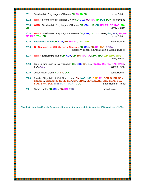| 2011              | Shadow Mtn Playit Again V Reema CD RN TD DD                                                                                                                                                       | Lovey Olbrich         |
|-------------------|---------------------------------------------------------------------------------------------------------------------------------------------------------------------------------------------------|-----------------------|
| 2012              | <b>WDCH</b> Stoans One Hit Wonder V Yixy CD, CDX, UD, RN, TD, DD2, DDX Wendy Lee                                                                                                                  |                       |
| 2013<br><b>DD</b> | <b>WDCH</b> Shadow Mtn Playit Again V Reema CD, CDX, UD, GN, RN, RA, RE, RAE, TDX,                                                                                                                | Lovey Olbrich         |
| 2014              | <b>WDCH</b> Shadow Mtn Playit Again V Reema CD, CDX, UD UDX, OM1, GN, VER, RN, RA,<br><b>RE RAE TDX, DD</b>                                                                                       | Lovey Olbrich         |
| 2015              | Excaliburs Muse CD, CDX, BN, RN, RA, DDX, WP                                                                                                                                                      | <b>Barry Roland</b>   |
| 2016              | CH Summerlyns U R My Keb V Showme CD, CDX, BN, RE, ThD, CGCA<br>Colette Weishaar & Sheila Rush & William Buell III                                                                                |                       |
| 2017              | WDCH Excaliburs Muse CD, CDX, UD, BN, RN, RA, DDX, TDD, WP, WPX, WPS                                                                                                                              | <b>Barry Roland</b>   |
| 2018              | Blue Collars Once to Every Woman CD, CDX, BN, GN, RN, RA, RE, RM, RAE, RAE2,<br>FDC, CGC                                                                                                          | James Trunk           |
| 2019              | Joker Alsani Giants CD, BN, CGC                                                                                                                                                                   | Janet Russie          |
| 2020              | Brandau Ridge Tak'n A Walk Thru Ur Heart BN, NAP, NJP, OAP, RN, SCN, SHDN, SBN,<br>SIN, SEN, SWN, SINE, SCNE, SCA, SIA, SBNE, SENE, SWNE, SBA, SCAE, SEA,<br>SIAE, SWA, SCE, TKN, BCAT, DCAT, CGC | Shari Hoffman-Preucil |
| 2021              | Sadie Hunter CD, CDX, BN, RN, TKN                                                                                                                                                                 | Linda Hunter          |
|                   | Thanks to Nancilyn Kroushl for researching many the past recipients from the 1960s and early 1970s.                                                                                               |                       |
|                   |                                                                                                                                                                                                   |                       |

**Time** 

an an dia kaominina mpikambana ao amin'ny fivondronan-kaominin'i Amin'ny Espaina ao amin'ny fivondronan-kaomini

<u> 2 minimum membrana di mandata di mandata di mandata di mandata di se</u>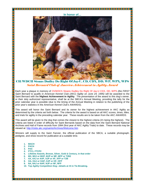**In honor of…** 



CH/WDCH Stoans Dudley Do Right Of Jay-U, CD, CDX, DD, WP, WPX, WPS Saint Bernard Club of America Achievement in Agility Award

Each year a plaque in memory of Ch/WDCh Stoans Dudley Do Right Of Jay-U CDX, DD, WPS (the FIRST Saint Bernard to qualify in American Kennel Club (AKC) Agility on June 24, 1995) will be awarded to the Saint Bernard with the **Highest Achievement in Agility**. The presentation of the award to this dog's owner, or their duly authorized representative, shall be at the SBCA's Annual Meeting, providing the tally for the prior calendar year is possible (due to the timing of the Annual Meeting in relation to the publishing of the prior year's statistics in the American Kennel Club's AWARDS).

This award will honor the Saint Bernard and its owner for the highest achievement in AKC Agility as  $\blacksquare$ determined by the criteria set forth below. The criteria for the award is based on all AKC scores, times, titles, and trials for agility in the preceding calendar year. These results are to be taken from the AKC AWARDS.

This award will be given to the dog that comes the closest to the highest criteria (#1 being the highest). The criteria are listed in order of difficulty for Saint Bernards based on the data from the Saint Bernard National Archives and Hall of Fame records from 1994 (first year of AKC Agility Trials) to date. These records may be  $\Box$ viewed at: http://clubs.akc.org/saints/Archives/Welcome.htm

Winners will supply to the Saint Fancier, the official publication of the SBCA, a suitable photograph,  $\begin{array}{|l|}\hline \texttt{p}}\hline \texttt{p}}\hline \texttt{p}}\hline \texttt{p}}\hline \texttt{p}}\hline \texttt{p}}\hline \texttt{p}}\hline \texttt{p}}\hline \texttt{p}}\hline \texttt{p}}\hline \texttt{p}}\hline \texttt{p}}\$ pedigree, and show record for publication at a suitable time.

- **1. MACH**
- **2. PACH**

E L

L

L

E

- **3. PAX**
- **4. FTC1, FTCP2**
- **5. Lifetime Awards, Bronze, Silver, Gold & Century, in that order**
- **6. MX, MXJ or MXP, MJP or MF, MFP or T2B2**
- **7. AX, AXJ or AXP, AJP or XF, XFP or T2B**
- **8. OA, OAJ or OAP, OJP or OF, OFP**
- **9. NA, NAJ or NAP, NJP or NF, NFP**
- **10. Top Agility Competition Dog—details at #4 in Tie-Breaking.**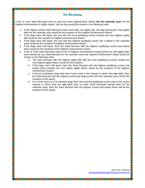# Tie-Breaking

If two or more Saint Bernards were to earn the same highest-level criteria (**for the calendar year**) for the Highest Achievement In Agility Award, the top dog would be chosen in the following order:

E E

- 1. If the highest criteria Saint Bernards have more than one agility title, the dog earning the most agility titles for the calendar year would be the recipient of the Highest Achievement Award.
- 2. If the dogs were still equal, the one with the most qualifying scores towards the next highest agility title would be the recipient of Highest Achievement Award.
- 3. If the dogs were still equal, the one with the highest qualifying scores (for a title[s] in the calendar year) would be the recipient of Highest Achievement Award.
- 4. If the dogs were still equal, then the Saint Bernard with the highest qualifying scores and lowest times would be the recipient of the Highest Achievement Award.
- 5. If two or more Saint Bernards were to tie for Highest Achievement Award (where no new agility titles were earned by any Saint Bernard for the calendar year) the Highest Achievement Award would be chosen in the following order:
	- a. The Saint Bernard with the highest agility title with the most qualifying score(s) toward the next highest agility title(s) would be the recipient.
	- b. If the dogs were still equal, then the Saint Bernard with the highest qualifying scores and lowest times towards the next higher agility title(s) would be the recipient of the Highest Achievement Award.
	- c. If the tie is between dogs that have scores only in the classes in which they **are** titled, then the Saint Bernard with the highest scores and lowest times (for the calendar year) will be the  $\Box$ recipient of the award.
	- d. If it comes down to a tie between dogs that have earned qualifying scores only in the novice classes in which they are **not** titled (and no other Saint Bernards earned titles for the calendar year), then the Saint Bernard with the highest scores and lowest times will be the recipient of the award.

John Cox, Archivist saintbernardnationalarchives@comcast.net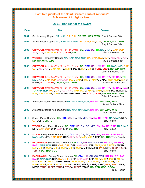| Past Recipients of the Saint Bernard Club of America's<br><b>Achievement in Agility Award</b> |                                                                                                                                                                                                                                                                                                                                                                                  |                     |  |  |
|-----------------------------------------------------------------------------------------------|----------------------------------------------------------------------------------------------------------------------------------------------------------------------------------------------------------------------------------------------------------------------------------------------------------------------------------------------------------------------------------|---------------------|--|--|
|                                                                                               | 2001 First Year of the Award                                                                                                                                                                                                                                                                                                                                                     |                     |  |  |
| Year                                                                                          | <u>Dog</u>                                                                                                                                                                                                                                                                                                                                                                       | <b>Owner</b>        |  |  |
| 2001                                                                                          | Sir Hennessy Cognac NA, NAJ, OA, OAJ, DD, WP, WPX, WPS Ray & Barbara Slish                                                                                                                                                                                                                                                                                                       |                     |  |  |
| 2002                                                                                          | Sir Hennessy Cognac NA, NAP, NAJ, NJP, OA, OAP, OAJ, OJP, DD, WP, WPX, WPS                                                                                                                                                                                                                                                                                                       | Ray & Barbara Slish |  |  |
| 2003                                                                                          | CH/WDCH XmaxKris Van 'T Hof Ten Eynder CD, CDX, UD, TD, NAP, NJP, OAP, OJP,<br>AXP, AJP, MXP, MJP, VCD1, VCD2, DD                                                                                                                                                                                                                                                                | John & Suzanne Cox  |  |  |
| 2004                                                                                          | WDCH Sir Hennessy Cognac NA, NAP, NAJ, NJP, OA, OAP, OAJ, OJP, AXJ, AXP, AJP,<br>DD, WP, WPX, WPS                                                                                                                                                                                                                                                                                | Ray & Barbara Slish |  |  |
| 2005                                                                                          | <b>CH/WDCH</b> XmaxKris Van 'T Hof Ten Eynder CD, CDX, UD, UDX, RN, TD, NAP, NJP, OAP,<br>OJP, AXP, AJP, MXP, MXP 2, MXP3, MXPB, MJP, MJP2, VCD1, VCD2, DD, WP, WPX                                                                                                                                                                                                              | John & Suzanne Cox  |  |  |
| 2006                                                                                          | <b>CH/WDCH</b> XmaxKris Van 'T Hof Ten Eynder CD, CDX, UD, UDX, RN, RA, RE, RAE, TD,<br>NAP, NJP, OAP, OJP, AXP, AJP, MXP, MXP 2, MXP3, MXP4, MXPB, MJP, MJP2, MJP3,<br>MJPB, VCD1, VCD2, DD, WP, WPX, WPS                                                                                                                                                                       | John & Suzanne Cox  |  |  |
| 2007                                                                                          | CH/WDCH XmaxKris Van 'T Hof Ten Eynder CD, CDX, UD, UDX, RN, RA, RE, RAE, RAE2<br>TD, NAP, NJP, OAP, OJP, AXP, AJP, MXP, MXP2, MXP3, MXP4, MXP5, MXPB, MXPS,<br>MJP, MJP2, MJP3, MJP4, MJPB, NFP, OFP, XFP, VCD1, VCD2, DD, WP, WPX, WPS                                                                                                                                         | John & Suzanne Cox  |  |  |
| 2008                                                                                          | Almshaus Joshua Kool Diamond NA, NAJ, NAP, NJP, RN, RA, WP, WPX, WPS                                                                                                                                                                                                                                                                                                             | Ray & Barbara Slish |  |  |
| 2009                                                                                          | Almshaus Joshua Kool Diamond NA, NAJ, NAP, NJP, RN, RA, WP, WPX, WPS                                                                                                                                                                                                                                                                                                             | Ray & Barbara Slish |  |  |
| 2010                                                                                          | Snowy Pine's Hummer CD, CDX, UD, GN, GO, VER, RN, RA, RE, RAE, NAP, NJP, NFP,<br>OJP, OFP, DD, TD                                                                                                                                                                                                                                                                                | <b>Terry Popish</b> |  |  |
| 2011                                                                                          | WDCH Snowy Pine's Hummer CD, CDX, UD, GN, GO, VER, RN, RA, RE, RAE, NAP, NJP,<br>NFP, OAP, OJP, OFP, AJP, XFP, DD, TDD                                                                                                                                                                                                                                                           | <b>Terry Popish</b> |  |  |
| 2012                                                                                          | WDCH Snowy Pine's Hummer CD, CDX, UD, GN, GO, VER, RN, RA, RE, RAE, RAE2,<br>NAP, NJP, NFP, OAP, OJP, OFP, AXP, AJP, MJP, MJP2, XFP, DD, TDD Terry Popish                                                                                                                                                                                                                        |                     |  |  |
| 2013                                                                                          | PACH/WDCH Snowy Pine's Hummer CD, CDX, UD, GN, GO, VER, RN, RA, RE, RAE,<br>RAE2, NAP, NJP, NFP, OAP, OJP, OFP, AXP, AJP, XFP, MXP, MXP2, MXP3, MXPB,<br>MJP, MJP2, MJP3, MJP4, MJP5, MJP6, MJP7, MJPB, MJPS, PAX, MFP, T2BP, T2BP2,<br>T2BP3, DD, TDD, CGC                                                                                                                      | <b>Terry Popish</b> |  |  |
| 2014                                                                                          | PACH2/WDCH Snowy Pine's Hummer CD, CDX, UD, GN, GO, VER, RN, RA, RE, RAE,<br>RAE2, NAP, NJP, NFP, OAP, OJP, OFP, AXP, AJP, XFP, MXP, MXP2, MXP3, MXP4,<br>MXP5, MXP6, MXP7, MXPB, MXPS, MJP, MJP2, MJP3, MJP4, MJP5, MJP6, MJP7,<br>MJP8, MJP9, MJP10, MJP11, MJP12, MJPB, MJPS, MJPG, MJPC, PAX, PAX2, MFP,<br>MFPB, T2BP, T2BP2, T2BP3, T2BP4, T2BP5, TQXP, DD, TDD, CGC, CGCA | <b>Terry Popish</b> |  |  |

L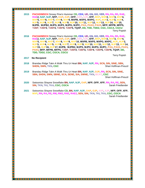**2015 PACH3/WDCH** Snowy Pine's Hummer **CD, CDX, UD, GN, GO, VER, RN, RA, RE, RAE, RAE2, NAP, NJP, NFP, OAP, OJP, OFP, AXP, AJP, XFP, MXP, MXP2, MXP3, MXP4, MXP5, MXP6, MXP7, MXP8, MXP9, MXPB, MXPS, MXPG, MJP, MJP2, MJP3, MJP4, MJP5, MJP6, MJP7, MJP8, MJP9, MJP10, MJP11, MJP12, MJP13, MJP14, MJP15, MJPB, MJPB2, MJPS, MJP2, MJPG, MJPC, PAX, PAX2, PAX3, MFP, MFPB, MFPS, T2BP, T2BP2, T2BP3, T2BP4, T2BP5, TQXP, DD, TDD, TDD2, CGC, CGCA, CGCU** Terry Popish

**2016 PACH4/WDCH** Snowy Pine's Hummer **CD, CDX, UD, GN, GO, VER, RN, RA, RE, RAE, RAE2, NAP, NJP, NFP, OAP, OJP, OFP, AXP, AJP, XFP, MXP, MXP2, MXP3, MXP4, MXP5, MXP6, MXP7, MXP8, MXP9, MXP10, MXPB, MXPS, MXPG, MXPC, MJP, MJP2, MJP3, MJP4, MJP5, MJP6, MJP7, MJP8, MJP9, MJP10, MJP11, MJP12, MJP13, MJP14, MJP15, MJP16, MJP17, MJPB, MJPB2, MJPS, MJP2, MJPG, MJPC, PAX, PAX2, PAX3, PAX4, MFP, MFPB, MFPS, T2BP, T2BP2, T2BP3, T2BP4, T2BP5, T2BP6, TQXP, DD, TDD, TDD2, CGC, CGCA, CGCU** 

<u> 1989 - Primar Maria Maria Maria Maria Maria Maria Mandala (h. 1989).</u>

TE TE TE TE TE TE TE TE

#### **1996 - 2017 No Recipient** Service Studies of the Service Studies of Terry Popish Service Studies of the Service Studies of the Service Studies of the Service Studies of the Service Studies of the Service Studies of the S **2017 No Recipient**

a sa kata sa kata sa kata sa kata sa kata sa kata sa na sa na kata sa kata sa kata sa na sa na sa na sa na san

- **2018** Brandau Ridge Takn A Walk Thru Ur Heart **BN, NAP, NJP, RN, SCN, SIN, SINE, SBN, SHDN, SWN, TKN, CGC Shari Hoffman-Preucil** Shari Hoffman-Preucil
- **2019** Brandau Ridge Takn A Walk Thru Ur Heart **BN, NAP, NJP, OJP, RN, SCN, SIN, SINE, SBN, SHDN, SWN, SBNE, SCA, SENE, SIA, SWNE, TKN, BCAT, CGC**

Shari Hoffman-Preucil

- **2020** Swissmiss Shayne Snowflake **BN, NAP, NJP, OAP, NFP, OFP, XFP, RN, RA, RE, SEN, SIN, TKN, TKI, TKA, CGC, CGCA Sarah Friedlander** Sarah Friedlander
- **2021** Swissmiss Shayne Snowflake **CD, BN, NAP, NJP, OAP, OJP, AXP, AJP, NFP, OFP, XFP, MXP, RN, RA, RE, RM, RM2, RAE, RAE2, SEN, SIN, TKN, TKI, TKA, CGC, CGCA**

Sarah Friedlander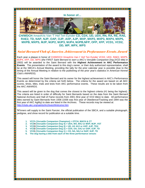

**CH/WDCH** XmaxKris Van 'T Hof Ten Eynder **CD, CDX, UD, UDX, RN, RA, RE, RAE, RAE2, TD, NAP, NJP, OAP, OJP, AXP, AJP, MXP, MXP2, MXP3, MXP4, MXP5, MXPB, MXPS, MJP, MJP2, MJP3, MJP4, MJPB,NFP, OFP, XFP, VCD1, VCD2, DD, WP, WPX, WPS** 

## Saint Bernard Club of America Achievement in Performance Events Award

Each year a plaque in honor of CH/WDCH XmaxKris Van t' Hof Ten Eynder VCD2, UDX, RAE2, MXP5, MJP4, XFP, DD, WPS (the FIRST Saint Bernard to earn a AKC's Versatile Companion Dog [VCD title] in  $\Box$ 2002) will be awarded to the Saint Bernard with the **Highest Achievement in AKC Performance Events**. The presentation of the award to this dog's owner, or their duly authorized representative, shall be at the SBCA's Annual Meeting, providing the tally for the prior calendar year is possible (due to the timing of the Annual Meeting in relation to the publishing of the prior year's statistics in American Kennel Club's AWARDS).

This award will honor the Saint Bernard and its owner for the highest achievement in AKC's Performance Events as determined by the criteria set forth below. The criteria for the award are based on all AKC scores, times, titles, trials and tests from AKC performance events. These results are to be taken from the AKC AWARDS.

This award will be given to the dog that comes the closest to the highest criteria (#1 being the highest). The criteria are listed in order of difficulty for Saint Bernards based on the data from the Saint Bernard National Archives and Hall of Fame records from 2001 (first year of VCD titles) to date. All performance titles earned by Saint Bernards from 1936 (1936 was first year of Obedience/Tracking and 1994 was the first year of AKC Agility) to date are listed in the Archives. These records may be viewed at: http://clubs.akc.org/saints/Archives/Welcome.htm

Winners will supply to the Saint Fancier, the official publication of the SBCA, and a suitable photograph, pedigree, and show record for publication at a suitable time.

- **1. VCCh {Versatile Companion Champion} = OTCH, MACH & CT**
- **2. VCD4 {Versatile Companion Dog 4} = UDX, MX, MXJ or MXP, MJP, VST**
- **3. VCD3 {Versatile Companion Dog 3} = UD, AX AXJ or AXP, AJP, TDX**
- **4. VCD2 {Versatile Companion Dog 2} = CDX, OA, OAJ or OAP, OJP, TD**
- **5. VCD1 {Versatile Companion Dog 1} = CD, NA, NAJ or NAP, NJP, TD**
- **6. The dog having a title from each of the three performance venues**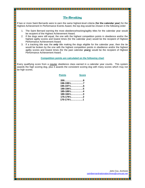# Tie-Breaking

If two or more Saint Bernards were to earn the same highest-level criteria (**for the calendar year**) for the Highest Achievement In Performance Events Award, the top dog would be chosen in the following order:

- 1. The Saint Bernard earning the most obedience/tracking/agility titles for the calendar year would be recipient of the Highest Achievement Award.
- 2. If the dogs were still equal, the one with the highest competition points in obedience and/or the highest agility scores and lowest times (for the calendar year) would be the recipient of Highest Performance Achievement Award.
- 3. If a tracking title was the **only** title making the dogs eligible for the calendar year, then the tie would be broken by the one with the highest competition points in obedience and/or the highest agility scores and lowest times (for the past calendar **years**) would be the recipient of Highest Performance Achievement Award.

#### **Competition points are calculated on the following chart**

Every qualifying score from a regular obedience class earned in a calendar year counts. This system awards the high scoring dog, plus it awards the consistent scoring dog with many scores which may not be high scores.

| <b>Points</b>                                     | <b>Score</b> |
|---------------------------------------------------|--------------|
|                                                   |              |
| $198 - 199\frac{1}{2}, \ldots, \ldots, \ldots, 7$ |              |
| $195 - 197\frac{1}{2}, \ldots, \ldots, 6$         |              |
| $190 - 194\frac{1}{2}, \ldots, \ldots, 5$         |              |
| 185-189½……………4                                    |              |
| $180 - 184\frac{1}{2}$ 3                          |              |
|                                                   |              |
| $170 - 174\frac{1}{2}, \ldots, \ldots, 1$         |              |
|                                                   |              |

John Cox, Archivist saintbernardnationalarchives@comcast.net